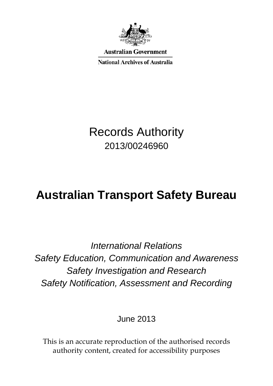

Australian Government

**National Archives of Australia** 

## Records Authority 2013/00246960

# **Australian Transport Safety Bureau**

*International Relations Safety Education, Communication and Awareness Safety Investigation and Research Safety Notification, Assessment and Recording*

June 2013

This is an accurate reproduction of the authorised records authority content, created for accessibility purposes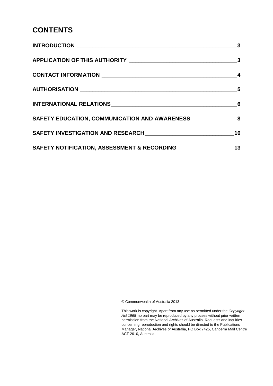#### **CONTENTS**

|                                                                | $\overline{\mathbf{3}}$ |
|----------------------------------------------------------------|-------------------------|
|                                                                |                         |
|                                                                | 4                       |
|                                                                |                         |
|                                                                |                         |
| SAFETY EDUCATION, COMMUNICATION AND AWARENESS 8                |                         |
|                                                                | 10                      |
| SAFETY NOTIFICATION, ASSESSMENT & RECORDING __________________ | 13                      |

© Commonwealth of Australia 2013

This work is copyright. Apart from any use as permitted under the *Copyright Act 1968,* no part may be reproduced by any process without prior written permission from the National Archives of Australia. Requests and inquiries concerning reproduction and rights should be directed to the Publications Manager, National Archives of Australia, PO Box 7425, Canberra Mail Centre ACT 2610, Australia.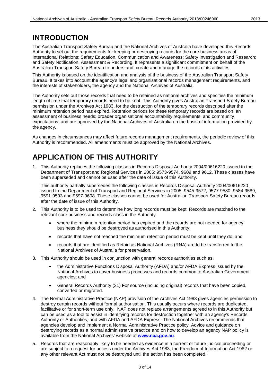#### <span id="page-2-0"></span>**INTRODUCTION**

<span id="page-2-1"></span>The Australian Transport Safety Bureau and the National Archives of Australia have developed this Records Authority to set out the requirements for keeping or destroying records for the core business areas of: International Relations; Safety Education, Communication and Awareness; Safety Investigation and Research; and Safety Notification, Assessment & Recording. It represents a significant commitment on behalf of the Australian Transport Safety Bureau to understand, create and manage the records of its activities.

This Authority is based on the identification and analysis of the business of the Australian Transport Safety Bureau. It takes into account the agency's legal and organisational records management requirements, and the interests of stakeholders, the agency and the National Archives of Australia.

The Authority sets out those records that need to be retained as national archives and specifies the minimum length of time that temporary records need to be kept. This Authority gives Australian Transport Safety Bureau permission under the Archives Act 1983, for the destruction of the temporary records described after the minimum retention period has expired. Retention periods for these temporary records are based on: an assessment of business needs; broader organisational accountability requirements; and community expectations, and are approved by the National Archives of Australia on the basis of information provided by the agency.

As changes in circumstances may affect future records management requirements, the periodic review of this Authority is recommended. All amendments must be approved by the National Archives.

#### **APPLICATION OF THIS AUTHORITY**

1. This Authority replaces the following classes in Records Disposal Authority 2004/00616220 issued to the Department of Transport and Regional Services in 2005: 9573-9574, 9609 and 9612. These classes have been superseded and cannot be used after the date of issue of this Authority.

This authority partially supersedes the following classes in Records Disposal Authority 2004/00616220 issued to the Department of Transport and Regional Services in 2005: 9545-9572, 9577-9580, 9584-9589, 9591-9593 and 9597-9608. These classes cannot be used for Australian Transport Safety Bureau records after the date of issue of this Authority.

- 2. This Authority is to be used to determine how long records must be kept. Records are matched to the relevant core business and records class in the Authority:
	- where the minimum retention period has expired and the records are not needed for agency business they should be destroyed as authorised in this Authority;
	- records that have not reached the minimum retention period must be kept until they do; and
	- records that are identified as Retain as National Archives (RNA) are to be transferred to the National Archives of Australia for preservation.
- 3. This Authority should be used in conjunction with general records authorities such as:
	- the Administrative Functions Disposal Authority (AFDA) and/or AFDA Express issued by the National Archives to cover business processes and records common to Australian Government agencies; and
	- General Records Authority (31) For source (including original) records that have been copied, converted or migrated.
- 4. The Normal Administrative Practice (NAP) provision of the Archives Act 1983 gives agencies permission to destroy certain records without formal authorisation. This usually occurs where records are duplicated, facilitative or for short-term use only. NAP does not replace arrangements agreed to in this Authority but can be used as a tool to assist in identifying records for destruction together with an agency's Records Authority or Authorities, and with AFDA and AFDA Express. The National Archives recommends that agencies develop and implement a Normal Administrative Practice policy. Advice and guidance on destroying records as a normal administrative practice and on how to develop an agency NAP policy is available from the National Archives' website at **[www.naa.gov.au](http://www.naa.gov.au/)**.
- 5. Records that are reasonably likely to be needed as evidence in a current or future judicial proceeding or are subject to a request for access under the Archives Act 1983, the Freedom of Information Act 1982 or any other relevant Act must not be destroyed until the action has been completed.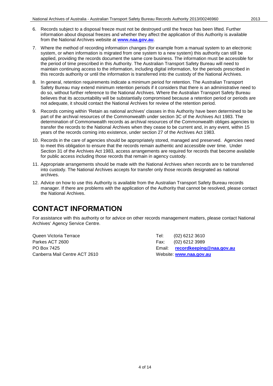- 6. Records subject to a disposal freeze must not be destroyed until the freeze has been lifted. Further information about disposal freezes and whether they affect the application of this Authority is available from the National Archives website at **[www.naa.gov.au](http://www.naa.gov.au/)**.
- 7. Where the method of recording information changes (for example from a manual system to an electronic system, or when information is migrated from one system to a new system) this authority can still be applied, providing the records document the same core business. The information must be accessible for the period of time prescribed in this Authority. The Australian Transport Safety Bureau will need to maintain continuing access to the information, including digital information, for the periods prescribed in this records authority or until the information is transferred into the custody of the National Archives.
- 8. In general, retention requirements indicate a minimum period for retention. The Australian Transport Safety Bureau may extend minimum retention periods if it considers that there is an administrative need to do so, without further reference to the National Archives. Where the Australian Transport Safety Bureau believes that its accountability will be substantially compromised because a retention period or periods are not adequate, it should contact the National Archives for review of the retention period.
- 9. Records coming within 'Retain as national archives' classes in this Authority have been determined to be part of the archival resources of the Commonwealth under section 3C of the Archives Act 1983. The determination of Commonwealth records as archival resources of the Commonwealth obliges agencies to transfer the records to the National Archives when they cease to be current and, in any event, within 15 years of the records coming into existence, under section 27 of the Archives Act 1983.
- 10. Records in the care of agencies should be appropriately stored, managed and preserved. Agencies need to meet this obligation to ensure that the records remain authentic and accessible over time. Under Section 31 of the Archives Act 1983, access arrangements are required for records that become available for public access including those records that remain in agency custody.
- 11. Appropriate arrangements should be made with the National Archives when records are to be transferred into custody. The National Archives accepts for transfer only those records designated as national archives.
- 12. Advice on how to use this Authority is available from the Australian Transport Safety Bureau records manager. If there are problems with the application of the Authority that cannot be resolved, please contact the National Archives.

### <span id="page-3-0"></span>**CONTACT INFORMATION**

For assistance with this authority or for advice on other records management matters, please contact National Archives' Agency Service Centre.

Queen Victoria Terrace Tel: (02) 6212 3610 Parkes ACT 2600 **Fax:** (02) 6212 3989 Canberra Mail Centre ACT 2610 Website: **[www.naa.gov.au](http://www.naa.gov.au/)**

PO Box 7425 Email: **[recordkeeping@naa.gov.au](mailto:recordkeeping@naa.gov.au)**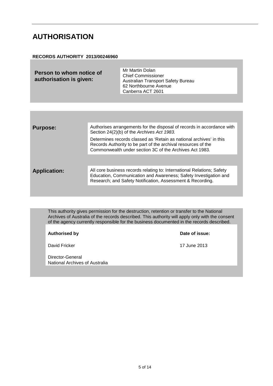#### <span id="page-4-0"></span>**AUTHORISATION**

#### **RECORDS AUTHORITY 2013/00246960**

| Person to whom notice of<br>authorisation is given: | Mr Martin Dolan<br><b>Chief Commissioner</b><br>Australian Transport Safety Bureau<br>62 Northbourne Avenue<br>Canberra ACT 2601 |
|-----------------------------------------------------|----------------------------------------------------------------------------------------------------------------------------------|
|                                                     |                                                                                                                                  |

| <b>Purpose:</b>     | Authorises arrangements for the disposal of records in accordance with<br>Section 24(2)(b) of the Archives Act 1983.                                                                                     |
|---------------------|----------------------------------------------------------------------------------------------------------------------------------------------------------------------------------------------------------|
|                     | Determines records classed as 'Retain as national archives' in this<br>Records Authority to be part of the archival resources of the<br>Commonwealth under section 3C of the Archives Act 1983.          |
|                     |                                                                                                                                                                                                          |
| <b>Application:</b> | All core business records relating to: International Relations; Safety<br>Education, Communication and Awareness; Safety Investigation and<br>Research; and Safety Notification, Assessment & Recording. |

This authority gives permission for the destruction, retention or transfer to the National Archives of Australia of the records described. This authority will apply only with the consent of the agency currently responsible for the business documented in the records described.

**Authorised by Date of issue:**

Director-General National Archives of Australia

David Fricker 17 June 2013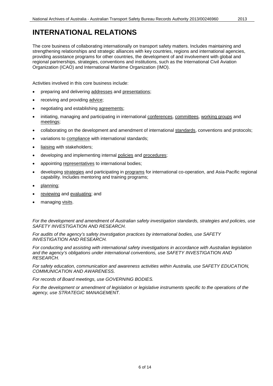<span id="page-5-0"></span>The core business of collaborating internationally on transport safety matters. Includes maintaining and strengthening relationships and strategic alliances with key countries, regions and international agencies, providing assistance programs for other countries, the development of and involvement with global and regional partnerships, strategies, conventions and institutions, such as the International Civil Aviation Organization (ICAO) and International Maritime Organization (IMO).

Activities involved in this core business include:

- preparing and delivering addresses and presentations;
- receiving and providing advice;
- negotiating and establishing agreements;
- initiating, managing and participating in international conferences, committees, working groups and meetings;
- collaborating on the development and amendment of international standards, conventions and protocols;
- variations to compliance with international standards;
- liaising with stakeholders;
- developing and implementing internal policies and procedures;
- appointing representatives to international bodies;
- developing strategies and participating in programs for international co-operation, and Asia-Pacific regional capability. Includes mentoring and training programs;
- planning;
- reviewing and evaluating; and
- managing visits.

*For the development and amendment of Australian safety investigation standards, strategies and policies, use SAFETY INVESTIGATION AND RESEARCH.*

*For audits of the agency's safety investigation practices by international bodies, use SAFETY INVESTIGATION AND RESEARCH.*

*For conducting and assisting with international safety investigations in accordance with Australian legislation and the agency's obligations under international conventions, use SAFETY INVESTIGATION AND RESEARCH.*

*For safety education, communication and awareness activities within Australia, use SAFETY EDUCATION, COMMUNICATION AND AWARENESS.*

*For records of Board meetings, use GOVERNING BODIES.*

*For the development or amendment of legislation or legislative instruments specific to the operations of the agency, use STRATEGIC MANAGEMENT.*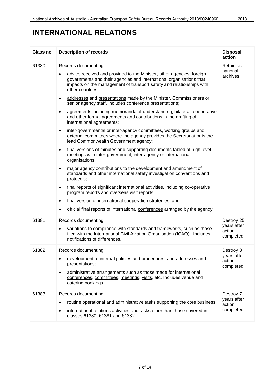### **INTERNATIONAL RELATIONS**

| <b>Class no</b> | <b>Description of records</b>                                                                                                                                                                                                                                                                                                                                                                                                                                                                                                                                                                                                                                                                                                                                                                                                                                                                                                                                                                                                                                                                                                                                                                                                                                                                                                                                                                                                                                                           | <b>Disposal</b><br>action                        |
|-----------------|-----------------------------------------------------------------------------------------------------------------------------------------------------------------------------------------------------------------------------------------------------------------------------------------------------------------------------------------------------------------------------------------------------------------------------------------------------------------------------------------------------------------------------------------------------------------------------------------------------------------------------------------------------------------------------------------------------------------------------------------------------------------------------------------------------------------------------------------------------------------------------------------------------------------------------------------------------------------------------------------------------------------------------------------------------------------------------------------------------------------------------------------------------------------------------------------------------------------------------------------------------------------------------------------------------------------------------------------------------------------------------------------------------------------------------------------------------------------------------------------|--------------------------------------------------|
| 61380           | Records documenting:<br>advice received and provided to the Minister, other agencies, foreign<br>٠<br>governments and their agencies and international organisations that<br>impacts on the management of transport safety and relationships with<br>other countries;<br>addresses and presentations made by the Minister, Commissioners or<br>$\bullet$<br>senior agency staff. Includes conference presentations;<br>agreements including memoranda of understanding, bilateral, cooperative<br>$\bullet$<br>and other formal agreements and contributions in the drafting of<br>international agreements;<br>inter-governmental or inter-agency committees, working groups and<br>$\bullet$<br>external committees where the agency provides the Secretariat or is the<br>lead Commonwealth Government agency;<br>final versions of minutes and supporting documents tabled at high level<br>$\bullet$<br>meetings with inter-government, inter-agency or international<br>organisations;<br>major agency contributions to the development and amendment of<br>$\bullet$<br>standards and other international safety investigation conventions and<br>protocols;<br>final reports of significant international activities, including co-operative<br>$\bullet$<br>program reports and overseas visit reports;<br>final version of international cooperation strategies; and<br>$\bullet$<br>official final reports of international conferences arranged by the agency.<br>$\bullet$ | Retain as<br>national<br>archives                |
| 61381           | Records documenting:<br>variations to compliance with standards and frameworks, such as those<br>٠<br>filed with the International Civil Aviation Organisation (ICAO). Includes<br>notifications of differences.                                                                                                                                                                                                                                                                                                                                                                                                                                                                                                                                                                                                                                                                                                                                                                                                                                                                                                                                                                                                                                                                                                                                                                                                                                                                        | Destroy 25<br>years after<br>action<br>completed |
| 61382           | Records documenting:<br>development of internal policies and procedures, and addresses and<br>٠<br>presentations;<br>administrative arrangements such as those made for international<br>$\bullet$<br>conferences, committees, meetings, visits, etc. Includes venue and<br>catering bookings.                                                                                                                                                                                                                                                                                                                                                                                                                                                                                                                                                                                                                                                                                                                                                                                                                                                                                                                                                                                                                                                                                                                                                                                          | Destroy 3<br>years after<br>action<br>completed  |
| 61383           | Records documenting:<br>routine operational and administrative tasks supporting the core business;<br>٠<br>international relations activities and tasks other than those covered in<br>$\bullet$<br>classes 61380, 61381 and 61382.                                                                                                                                                                                                                                                                                                                                                                                                                                                                                                                                                                                                                                                                                                                                                                                                                                                                                                                                                                                                                                                                                                                                                                                                                                                     | Destroy 7<br>years after<br>action<br>completed  |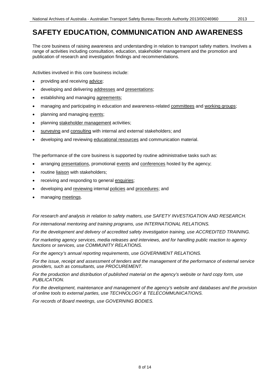<span id="page-7-0"></span>The core business of raising awareness and understanding in relation to transport safety matters. Involves a range of activities including consultation, education, stakeholder management and the promotion and publication of research and investigation findings and recommendations.

Activities involved in this core business include:

- providing and receiving advice;
- developing and delivering addresses and presentations;
- establishing and managing agreements;
- managing and participating in education and awareness-related committees and working groups;
- planning and managing events;
- planning stakeholder management activities;
- surveying and consulting with internal and external stakeholders; and
- developing and reviewing educational resources and communication material.

The performance of the core business is supported by routine administrative tasks such as:

- arranging presentations, promotional events and conferences hosted by the agency;
- routine liaison with stakeholders;
- receiving and responding to general enquiries;
- developing and reviewing internal policies and procedures; and
- managing meetings.

*For research and analysis in relation to safety matters, use SAFETY INVESTIGATION AND RESEARCH.*

*For international mentoring and training programs, use INTERNATIONAL RELATIONS.*

*For the development and delivery of accredited safety investigation training, use ACCREDITED TRAINING.* 

*For marketing agency services, media releases and interviews, and for handling public reaction to agency functions or services, use COMMUNITY RELATIONS.*

*For the agency's annual reporting requirements, use GOVERNMENT RELATIONS.*

*For the issue, receipt and assessment of tenders and the management of the performance of external service providers, such as consultants, use PROCUREMENT.*

*For the production and distribution of published material on the agency's website or hard copy form, use PUBLICATION.*

*For the development, maintenance and management of the agency's website and databases and the provision of online tools to external parties, use TECHNOLOGY & TELECOMMUNICATIONS.*

*For records of Board meetings, use GOVERNING BODIES.*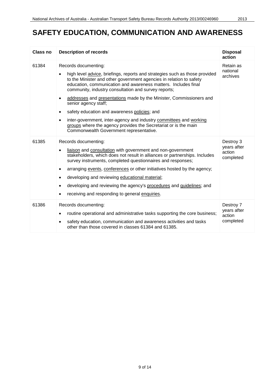| <b>Class no</b> | <b>Description of records</b>                                                                                                                                                                                                                                                                                                                                                                                                                                                                                                                                                                                                                                                               | <b>Disposal</b><br>action                       |
|-----------------|---------------------------------------------------------------------------------------------------------------------------------------------------------------------------------------------------------------------------------------------------------------------------------------------------------------------------------------------------------------------------------------------------------------------------------------------------------------------------------------------------------------------------------------------------------------------------------------------------------------------------------------------------------------------------------------------|-------------------------------------------------|
| 61384           | Records documenting:<br>high level advice, briefings, reports and strategies such as those provided<br>$\bullet$<br>to the Minister and other government agencies in relation to safety<br>education, communication and awareness matters. Includes final<br>community, industry consultation and survey reports;<br>addresses and presentations made by the Minister, Commissioners and<br>$\bullet$<br>senior agency staff;<br>safety education and awareness policies; and<br>$\bullet$<br>inter-government, inter-agency and industry committees and working<br>$\bullet$<br>groups where the agency provides the Secretariat or is the main<br>Commonwealth Government representative. | Retain as<br>national<br>archives               |
| 61385           | Records documenting:<br>liaison and consultation with government and non-government<br>$\bullet$<br>stakeholders, which does not result in alliances or partnerships. Includes<br>survey instruments, completed questionnaires and responses;<br>arranging events, conferences or other initiatives hosted by the agency;<br>٠<br>developing and reviewing educational material;<br>$\bullet$<br>developing and reviewing the agency's procedures and guidelines; and<br>$\bullet$<br>receiving and responding to general enquiries.<br>$\bullet$                                                                                                                                           | Destroy 3<br>years after<br>action<br>completed |
| 61386           | Records documenting:<br>routine operational and administrative tasks supporting the core business;<br>$\bullet$<br>safety education, communication and awareness activities and tasks<br>other than those covered in classes 61384 and 61385.                                                                                                                                                                                                                                                                                                                                                                                                                                               | Destroy 7<br>years after<br>action<br>completed |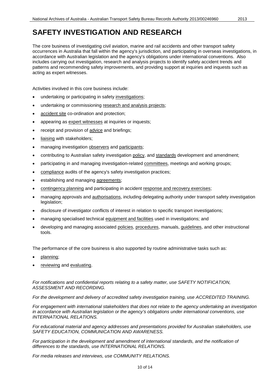<span id="page-9-0"></span>The core business of investigating civil aviation, marine and rail accidents and other transport safety occurrences in Australia that fall within the agency's jurisdiction, and participating in overseas investigations, in accordance with Australian legislation and the agency's obligations under international conventions. Also includes carrying out investigation, research and analysis projects to identify safety accident trends and patterns and recommending safety improvements, and providing support at inquiries and inquests such as acting as expert witnesses.

Activities involved in this core business include:

- undertaking or participating in safety investigations;
- undertaking or commissioning research and analysis projects;
- accident site co-ordination and protection;
- appearing as expert witnesses at inquiries or inquests;
- receipt and provision of advice and briefings;
- liaising with stakeholders;
- managing investigation observers and participants;
- contributing to Australian safety investigation policy, and standards development and amendment;
- participating in and managing investigation-related committees, meetings and working groups;
- compliance audits of the agency's safety investigation practices;
- establishing and managing agreements;
- contingency planning and participating in accident response and recovery exercises;
- managing approvals and authorisations, including delegating authority under transport safety investigation legislation;
- disclosure of investigator conflicts of interest in relation to specific transport investigations;
- managing specialised technical equipment and facilities used in investigations; and
- developing and managing associated policies, procedures, manuals, guidelines, and other instructional tools.

The performance of the core business is also supported by routine administrative tasks such as:

- planning;
- reviewing and evaluating.

*For notifications and confidential reports relating to a safety matter, use SAFETY NOTIFICATION, ASSESSMENT AND RECORDING.*

*For the development and delivery of accredited safety investigation training, use ACCREDITED TRAINING.*

*For engagement with international stakeholders that does not relate to the agency undertaking an investigation in accordance with Australian legislation or the agency's obligations under international conventions, use INTERNATIONAL RELATIONS.*

*For educational material and agency addresses and presentations provided for Australian stakeholders, use SAFETY EDUCATION, COMMUNICATION AND AWARENESS.*

For participation in the development and amendment of international standards, and the notification of *differences to the standards, use INTERNATIONAL RELATIONS.*

*For media releases and interviews, use COMMUNITY RELATIONS.*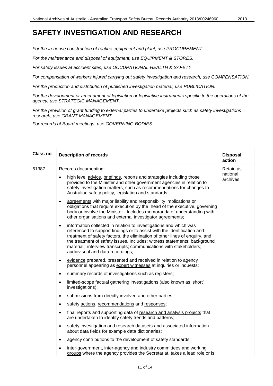#### **SAFETY INVESTIGATION AND RESEARCH**

*For the in-house construction of routine equipment and plant, use PROCUREMENT.*

*For the maintenance and disposal of equipment, use EQUIPMENT & STORES.*

*For safety issues at accident sites, use OCCUPATIONAL HEALTH & SAFETY.*

*For compensation of workers injured carrying out safety investigation and research, use COMPENSATION.*

*For the production and distribution of published investigation material, use PUBLICATION.*

*For the development or amendment of legislation or legislative instruments specific to the operations of the agency, use STRATEGIC MANAGEMENT.*

*For the provision of grant funding to external parties to undertake projects such as safety investigations research, use GRANT MANAGEMENT.*

*For records of Board meetings, use GOVERNING BODIES.*

| <b>Class no</b> | <b>Description of records</b>                                                                                                                                                                                                                                                                                                                                                                                                  | <b>Disposal</b><br>action         |
|-----------------|--------------------------------------------------------------------------------------------------------------------------------------------------------------------------------------------------------------------------------------------------------------------------------------------------------------------------------------------------------------------------------------------------------------------------------|-----------------------------------|
| 61387           | Records documenting:<br>high level advice, briefings, reports and strategies including those<br>provided to the Minister and other government agencies in relation to<br>safety investigation matters, such as recommendations for changes to<br>Australian safety policy, legislation and standards;                                                                                                                          | Retain as<br>national<br>archives |
|                 | agreements with major liability and responsibility implications or<br>$\bullet$<br>obligations that require execution by the head of the executive, governing<br>body or involve the Minister. Includes memoranda of understanding with<br>other organisations and external investigator agreements;                                                                                                                           |                                   |
|                 | information collected in relation to investigations and which was<br>$\bullet$<br>referenced to support findings or to assist with the identification and<br>treatment of safety factors, the elimination of other lines of enquiry, and<br>the treatment of safety issues. Includes: witness statements; background<br>material; interview transcripts; communications with stakeholders;<br>audiovisual and data recordings; |                                   |
|                 | evidence prepared, presented and received in relation to agency<br>$\bullet$<br>personnel appearing as expert witnesses at inquiries or inquests;                                                                                                                                                                                                                                                                              |                                   |
|                 | summary records of investigations such as registers;<br>$\bullet$                                                                                                                                                                                                                                                                                                                                                              |                                   |
|                 | limited-scope factual gathering investigations (also known as 'short'<br>$\bullet$<br>investigations);                                                                                                                                                                                                                                                                                                                         |                                   |
|                 | submissions from directly involved and other parties;<br>$\bullet$                                                                                                                                                                                                                                                                                                                                                             |                                   |
|                 | safety actions, recommendations and responses;<br>٠                                                                                                                                                                                                                                                                                                                                                                            |                                   |
|                 | final reports and supporting data of research and analysis projects that<br>$\bullet$<br>are undertaken to identify safety trends and patterns;                                                                                                                                                                                                                                                                                |                                   |
|                 | safety investigation and research datasets and associated information<br>٠<br>about data fields for example data dictionaries;                                                                                                                                                                                                                                                                                                 |                                   |
|                 | agency contributions to the development of safety standards;<br>$\bullet$                                                                                                                                                                                                                                                                                                                                                      |                                   |
|                 | inter-government, inter-agency and industry committees and working<br>groups where the agency provides the Secretariat, takes a lead role or is                                                                                                                                                                                                                                                                                |                                   |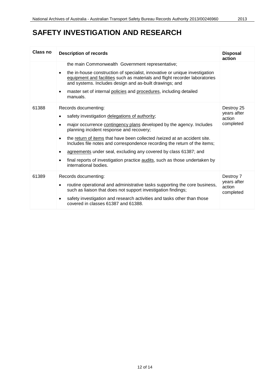### **SAFETY INVESTIGATION AND RESEARCH**

| Class no | <b>Description of records</b>                                                                                                                                                                                                      | <b>Disposal</b><br>action          |
|----------|------------------------------------------------------------------------------------------------------------------------------------------------------------------------------------------------------------------------------------|------------------------------------|
|          | the main Commonwealth Government representative;                                                                                                                                                                                   |                                    |
|          | the in-house construction of specialist, innovative or unique investigation<br>$\bullet$<br>equipment and facilities such as materials and flight recorder laboratories<br>and systems. Includes design and as-built drawings; and |                                    |
|          | master set of internal policies and procedures, including detailed<br>$\bullet$<br>manuals.                                                                                                                                        |                                    |
| 61388    | Records documenting:                                                                                                                                                                                                               | Destroy 25                         |
|          | safety investigation delegations of authority;<br>٠                                                                                                                                                                                | years after<br>action              |
|          | major occurrence contingency plans developed by the agency. Includes<br>$\bullet$<br>planning incident response and recovery;                                                                                                      | completed                          |
|          | the return of items that have been collected /seized at an accident site.<br>$\bullet$<br>Includes file notes and correspondence recording the return of the items;                                                                |                                    |
|          | agreements under seal, excluding any covered by class 61387; and<br>$\bullet$                                                                                                                                                      |                                    |
|          | final reports of investigation practice audits, such as those undertaken by<br>٠<br>international bodies.                                                                                                                          |                                    |
| 61389    | Records documenting:                                                                                                                                                                                                               | Destroy 7                          |
|          | routine operational and administrative tasks supporting the core business,<br>$\bullet$<br>such as liaison that does not support investigation findings;                                                                           | years after<br>action<br>completed |
|          | safety investigation and research activities and tasks other than those<br>٠<br>covered in classes 61387 and 61388.                                                                                                                |                                    |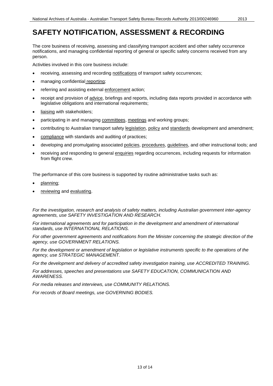<span id="page-12-0"></span>The core business of receiving, assessing and classifying transport accident and other safety occurrence notifications, and managing confidential reporting of general or specific safety concerns received from any person.

Activities involved in this core business include:

- receiving, assessing and recording notifications of transport safety occurrences;
- managing confidential reporting;
- referring and assisting external enforcement action;
- receipt and provision of advice, briefings and reports, including data reports provided in accordance with legislative obligations and international requirements;
- liaising with stakeholders;
- participating in and managing committees, meetings and working groups;
- contributing to Australian transport safety legislation, policy and standards development and amendment;
- compliance with standards and auditing of practices;
- developing and promulgating associated policies, procedures, guidelines, and other instructional tools; and
- receiving and responding to general enquiries regarding occurrences, including requests for information from flight crew.

The performance of this core business is supported by routine administrative tasks such as:

- planning;
- reviewing and evaluating.

*For the investigation, research and analysis of safety matters, including Australian government inter-agency agreements, use SAFETY INVESTIGATION AND RESEARCH.*

For international agreements and for participation in the development and amendment of international *standards, use INTERNATIONAL RELATIONS.*

*For other government agreements and notifications from the Minister concerning the strategic direction of the agency, use GOVERNMENT RELATIONS.*

*For the development or amendment of legislation or legislative instruments specific to the operations of the agency, use STRATEGIC MANAGEMENT.*

*For the development and delivery of accredited safety investigation training, use ACCREDITED TRAINING.*

*For addresses, speeches and presentations use SAFETY EDUCATION, COMMUNICATION AND AWARENESS.*

*For media releases and interviews, use COMMUNITY RELATIONS.*

*For records of Board meetings, use GOVERNING BODIES.*